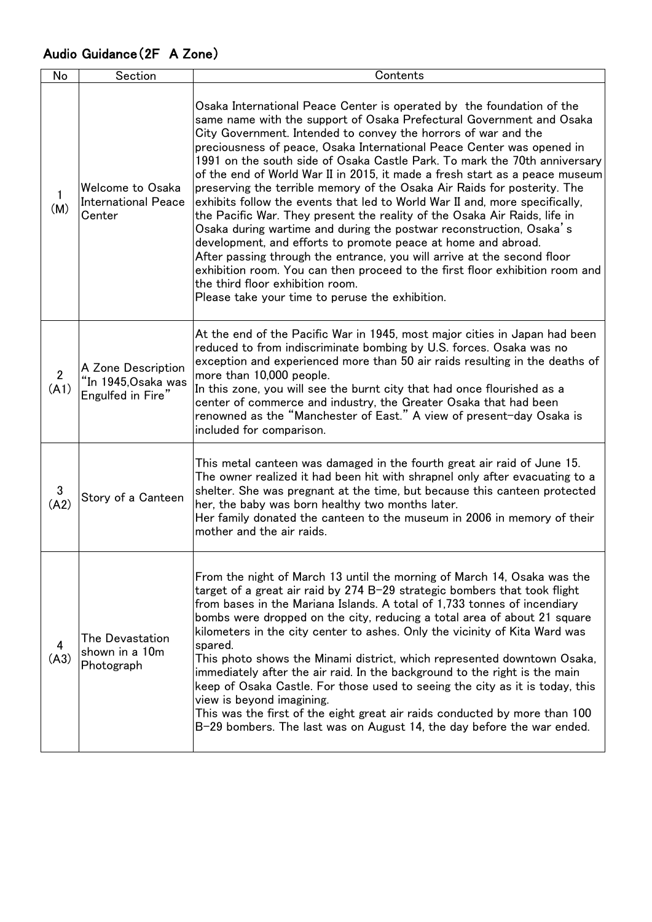## Audio Guidance(2F A Zone)

| No                  | Section                                                       | Contents                                                                                                                                                                                                                                                                                                                                                                                                                                                                                                                                                                                                                                                                                                                                                                                                                                                                                                                                                                                                                                                                               |
|---------------------|---------------------------------------------------------------|----------------------------------------------------------------------------------------------------------------------------------------------------------------------------------------------------------------------------------------------------------------------------------------------------------------------------------------------------------------------------------------------------------------------------------------------------------------------------------------------------------------------------------------------------------------------------------------------------------------------------------------------------------------------------------------------------------------------------------------------------------------------------------------------------------------------------------------------------------------------------------------------------------------------------------------------------------------------------------------------------------------------------------------------------------------------------------------|
| $\mathbf{1}$<br>(M) | Welcome to Osaka<br><b>International Peace</b><br>Center      | Osaka International Peace Center is operated by the foundation of the<br>same name with the support of Osaka Prefectural Government and Osaka<br>City Government. Intended to convey the horrors of war and the<br>preciousness of peace, Osaka International Peace Center was opened in<br>1991 on the south side of Osaka Castle Park. To mark the 70th anniversary<br>of the end of World War II in 2015, it made a fresh start as a peace museum<br>preserving the terrible memory of the Osaka Air Raids for posterity. The<br>exhibits follow the events that led to World War II and, more specifically,<br>the Pacific War. They present the reality of the Osaka Air Raids, life in<br>Osaka during wartime and during the postwar reconstruction, Osaka's<br>development, and efforts to promote peace at home and abroad.<br>After passing through the entrance, you will arrive at the second floor<br>exhibition room. You can then proceed to the first floor exhibition room and<br>the third floor exhibition room.<br>Please take your time to peruse the exhibition. |
| $2^{\circ}$<br>(A1) | A Zone Description<br>"In 1945,Osaka was<br>Engulfed in Fire" | At the end of the Pacific War in 1945, most major cities in Japan had been<br>reduced to from indiscriminate bombing by U.S. forces. Osaka was no<br>exception and experienced more than 50 air raids resulting in the deaths of<br>more than 10,000 people.<br>In this zone, you will see the burnt city that had once flourished as a<br>center of commerce and industry, the Greater Osaka that had been<br>renowned as the "Manchester of East." A view of present-day Osaka is<br>included for comparison.                                                                                                                                                                                                                                                                                                                                                                                                                                                                                                                                                                        |
| 3<br>(A2)           | Story of a Canteen                                            | This metal canteen was damaged in the fourth great air raid of June 15.<br>The owner realized it had been hit with shrapnel only after evacuating to a<br>shelter. She was pregnant at the time, but because this canteen protected<br>her, the baby was born healthy two months later.<br>Her family donated the canteen to the museum in 2006 in memory of their<br>mother and the air raids.                                                                                                                                                                                                                                                                                                                                                                                                                                                                                                                                                                                                                                                                                        |
| 4<br>(A3)           | The Devastation<br>shown in a 10m<br>Photograph               | From the night of March 13 until the morning of March 14, Osaka was the<br>target of a great air raid by 274 $B-29$ strategic bombers that took flight<br>from bases in the Mariana Islands. A total of 1,733 tonnes of incendiary<br>bombs were dropped on the city, reducing a total area of about 21 square<br>kilometers in the city center to ashes. Only the vicinity of Kita Ward was<br>spared.<br>This photo shows the Minami district, which represented downtown Osaka,<br>immediately after the air raid. In the background to the right is the main<br>keep of Osaka Castle. For those used to seeing the city as it is today, this<br>view is beyond imagining.<br>This was the first of the eight great air raids conducted by more than 100<br>B-29 bombers. The last was on August 14, the day before the war ended.                                                                                                                                                                                                                                                  |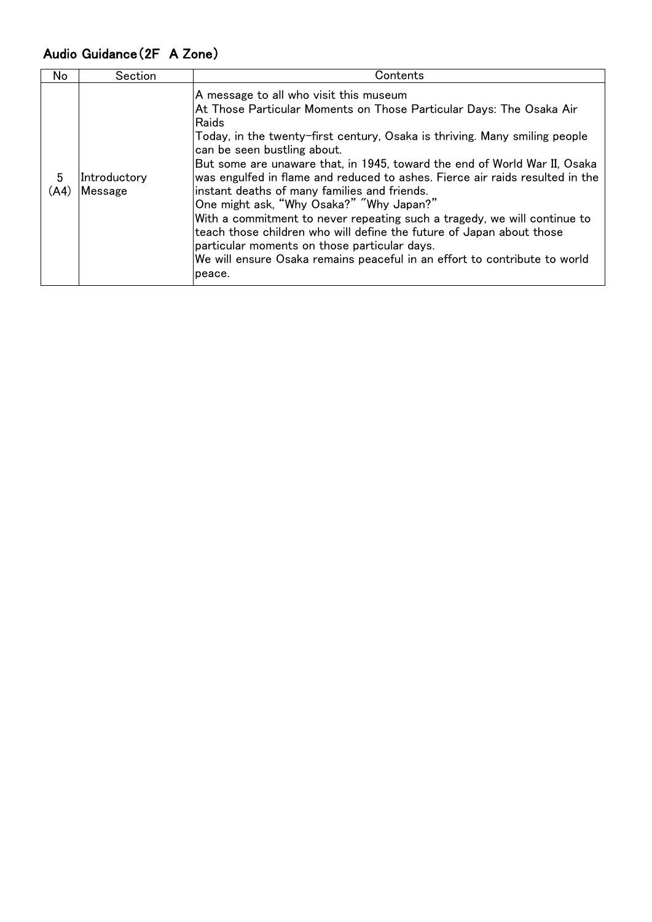## Audio Guidance(2F A Zone)

| No        | Section                 | Contents                                                                                                                                                                                                                                                                                                                                                                                                                                                                                                                                                                                                                                                                                                                                                                                |
|-----------|-------------------------|-----------------------------------------------------------------------------------------------------------------------------------------------------------------------------------------------------------------------------------------------------------------------------------------------------------------------------------------------------------------------------------------------------------------------------------------------------------------------------------------------------------------------------------------------------------------------------------------------------------------------------------------------------------------------------------------------------------------------------------------------------------------------------------------|
| 5<br>(A4) | Introductory<br>Message | A message to all who visit this museum<br>At Those Particular Moments on Those Particular Days: The Osaka Air<br>Raids<br>Today, in the twenty-first century, Osaka is thriving. Many smiling people<br>can be seen bustling about.<br>But some are unaware that, in 1945, toward the end of World War II, Osaka<br>was engulfed in flame and reduced to ashes. Fierce air raids resulted in the<br>instant deaths of many families and friends.<br>One might ask, "Why Osaka?" "Why Japan?"<br>With a commitment to never repeating such a tragedy, we will continue to<br>teach those children who will define the future of Japan about those<br>particular moments on those particular days.<br>We will ensure Osaka remains peaceful in an effort to contribute to world<br>peace. |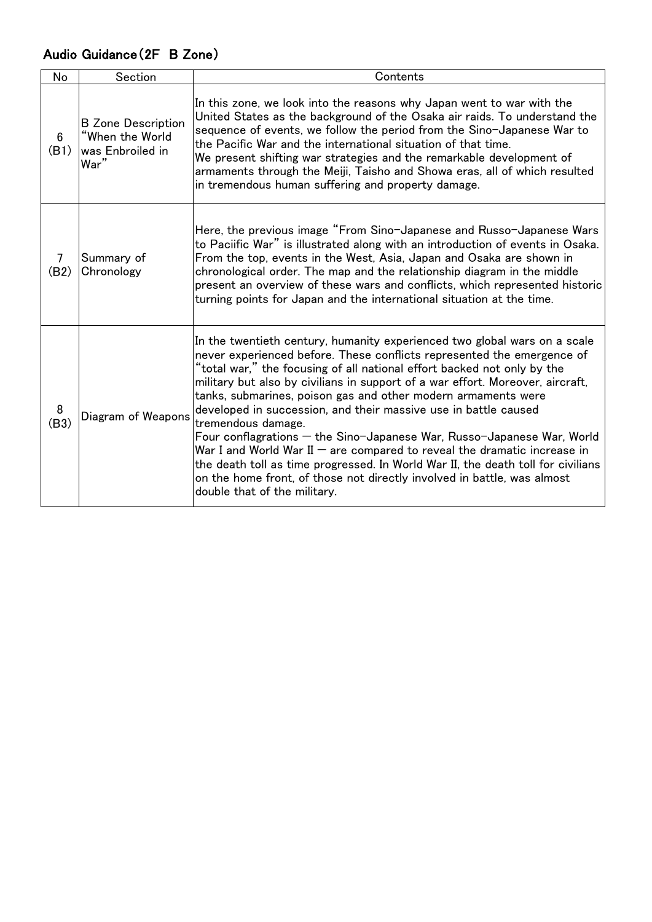## Audio Guidance(2F B Zone)

| No        | Section                                                                  | Contents                                                                                                                                                                                                                                                                                                                                                                                                                                                                                                                                                                                                                                                                                                                                                                                                                          |
|-----------|--------------------------------------------------------------------------|-----------------------------------------------------------------------------------------------------------------------------------------------------------------------------------------------------------------------------------------------------------------------------------------------------------------------------------------------------------------------------------------------------------------------------------------------------------------------------------------------------------------------------------------------------------------------------------------------------------------------------------------------------------------------------------------------------------------------------------------------------------------------------------------------------------------------------------|
| 6<br>(B1) | <b>B</b> Zone Description<br>"When the World<br>was Enbroiled in<br>War" | In this zone, we look into the reasons why Japan went to war with the<br>United States as the background of the Osaka air raids. To understand the<br>sequence of events, we follow the period from the Sino-Japanese War to<br>the Pacific War and the international situation of that time.<br>We present shifting war strategies and the remarkable development of<br>armaments through the Meiji, Taisho and Showa eras, all of which resulted<br>in tremendous human suffering and property damage.                                                                                                                                                                                                                                                                                                                          |
| 7<br>(B2) | Summary of<br>Chronology                                                 | Here, the previous image "From Sino-Japanese and Russo-Japanese Wars<br>to Paciific War" is illustrated along with an introduction of events in Osaka.<br>From the top, events in the West, Asia, Japan and Osaka are shown in<br>chronological order. The map and the relationship diagram in the middle<br>present an overview of these wars and conflicts, which represented historic<br>turning points for Japan and the international situation at the time.                                                                                                                                                                                                                                                                                                                                                                 |
| 8<br>(B3) | Diagram of Weapons                                                       | In the twentieth century, humanity experienced two global wars on a scale<br>never experienced before. These conflicts represented the emergence of<br>"total war," the focusing of all national effort backed not only by the<br>military but also by civilians in support of a war effort. Moreover, aircraft,<br>tanks, submarines, poison gas and other modern armaments were<br>developed in succession, and their massive use in battle caused<br>tremendous damage.<br>Four conflagrations — the Sino-Japanese War, Russo-Japanese War, World<br>War I and World War II $-$ are compared to reveal the dramatic increase in<br>the death toll as time progressed. In World War II, the death toll for civilians<br>on the home front, of those not directly involved in battle, was almost<br>double that of the military. |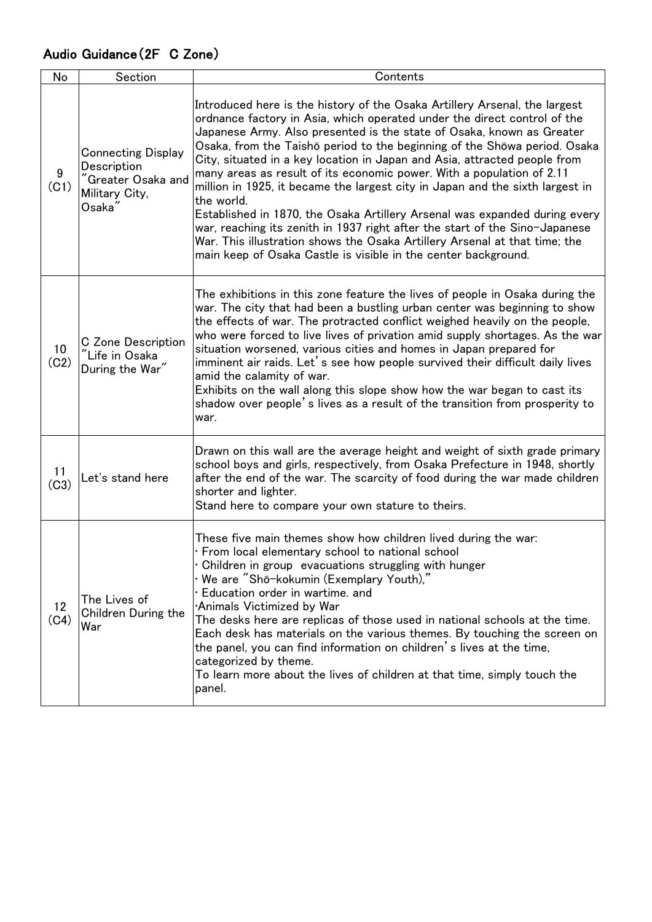## Audio Guidance(2F C Zone)

| No         | Section                                                                                             | Contents                                                                                                                                                                                                                                                                                                                                                                                                                                                                                                                                                                                                                                                                                                                                                                                                                                                                       |
|------------|-----------------------------------------------------------------------------------------------------|--------------------------------------------------------------------------------------------------------------------------------------------------------------------------------------------------------------------------------------------------------------------------------------------------------------------------------------------------------------------------------------------------------------------------------------------------------------------------------------------------------------------------------------------------------------------------------------------------------------------------------------------------------------------------------------------------------------------------------------------------------------------------------------------------------------------------------------------------------------------------------|
| 9<br>(C1)  | <b>Connecting Display</b><br>Description<br>$\degree$ Greater Osaka and<br>Military City,<br>Osaka' | Introduced here is the history of the Osaka Artillery Arsenal, the largest<br>ordnance factory in Asia, which operated under the direct control of the<br>Japanese Army. Also presented is the state of Osaka, known as Greater<br>Osaka, from the Taishō period to the beginning of the Shōwa period. Osaka<br>City, situated in a key location in Japan and Asia, attracted people from<br>many areas as result of its economic power. With a population of 2.11<br>million in 1925, it became the largest city in Japan and the sixth largest in<br>the world.<br>Established in 1870, the Osaka Artillery Arsenal was expanded during every<br>war, reaching its zenith in 1937 right after the start of the Sino-Japanese<br>War. This illustration shows the Osaka Artillery Arsenal at that time; the<br>main keep of Osaka Castle is visible in the center background. |
| 10<br>(C2) | C Zone Description<br>"Life in Osaka<br>During the War"                                             | The exhibitions in this zone feature the lives of people in Osaka during the<br>war. The city that had been a bustling urban center was beginning to show<br>the effects of war. The protracted conflict weighed heavily on the people,<br>who were forced to live lives of privation amid supply shortages. As the war<br>situation worsened, various cities and homes in Japan prepared for<br>imminent air raids. Let's see how people survived their difficult daily lives<br>amid the calamity of war.<br>Exhibits on the wall along this slope show how the war began to cast its<br>shadow over people's lives as a result of the transition from prosperity to<br>war.                                                                                                                                                                                                 |
| 11<br>(C3) | Let's stand here                                                                                    | Drawn on this wall are the average height and weight of sixth grade primary<br>school boys and girls, respectively, from Osaka Prefecture in 1948, shortly<br>after the end of the war. The scarcity of food during the war made children<br>shorter and lighter.<br>Stand here to compare your own stature to theirs.                                                                                                                                                                                                                                                                                                                                                                                                                                                                                                                                                         |
| 12<br>(C4) | The Lives of<br>Children During the<br>War                                                          | These five main themes show how children lived during the war:<br>· From local elementary school to national school<br>Children in group evacuations struggling with hunger<br>· We are "Shō-kokumin (Exemplary Youth),"<br>· Education order in wartime, and<br>Animals Victimized by War<br>The desks here are replicas of those used in national schools at the time.<br>Each desk has materials on the various themes. By touching the screen on<br>the panel, you can find information on children's lives at the time,<br>categorized by theme.<br>To learn more about the lives of children at that time, simply touch the<br>panel.                                                                                                                                                                                                                                    |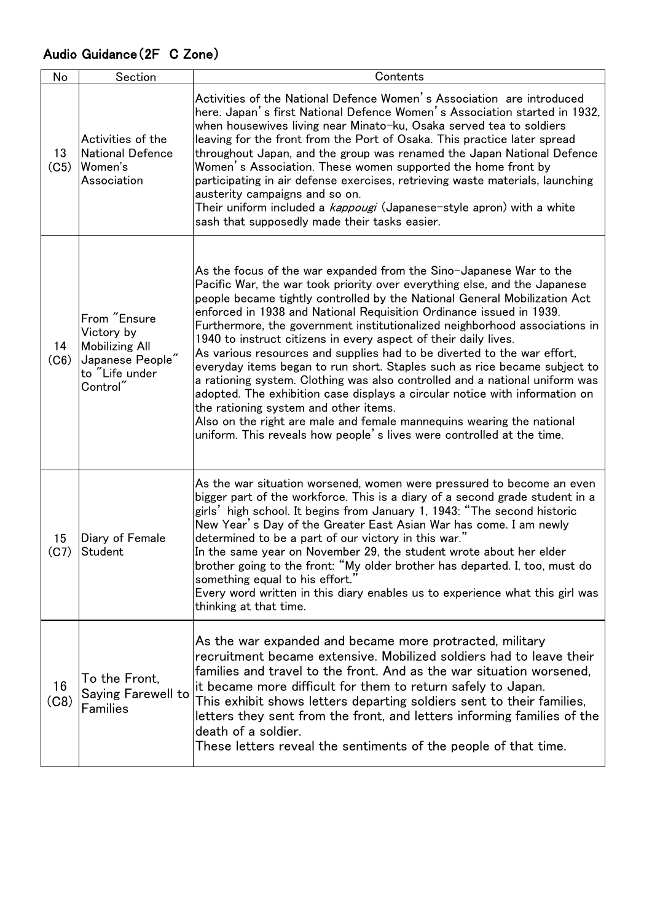## Audio Guidance(2F C Zone)

| No         | Section                                                                                               | Contents                                                                                                                                                                                                                                                                                                                                                                                                                                                                                                                                                                                                                                                                                                                                                                                                                                                                                                                                                              |
|------------|-------------------------------------------------------------------------------------------------------|-----------------------------------------------------------------------------------------------------------------------------------------------------------------------------------------------------------------------------------------------------------------------------------------------------------------------------------------------------------------------------------------------------------------------------------------------------------------------------------------------------------------------------------------------------------------------------------------------------------------------------------------------------------------------------------------------------------------------------------------------------------------------------------------------------------------------------------------------------------------------------------------------------------------------------------------------------------------------|
| 13<br>(C5) | Activities of the<br><b>National Defence</b><br>Women's<br>Association                                | Activities of the National Defence Women's Association are introduced<br>here. Japan's first National Defence Women's Association started in 1932,<br>when housewives living near Minato-ku, Osaka served tea to soldiers<br>leaving for the front from the Port of Osaka. This practice later spread<br>throughout Japan, and the group was renamed the Japan National Defence<br>Women's Association. These women supported the home front by<br>participating in air defense exercises, retrieving waste materials, launching<br>austerity campaigns and so on.<br>Their uniform included a <i>kappougi</i> (Japanese-style apron) with a white<br>sash that supposedly made their tasks easier.                                                                                                                                                                                                                                                                   |
| 14<br>(C6) | From "Ensure<br>Victory by<br><b>Mobilizing All</b><br>Japanese People"<br>to "Life under<br>Control" | As the focus of the war expanded from the Sino-Japanese War to the<br>Pacific War, the war took priority over everything else, and the Japanese<br>people became tightly controlled by the National General Mobilization Act<br>enforced in 1938 and National Requisition Ordinance issued in 1939.<br>Furthermore, the government institutionalized neighborhood associations in<br>1940 to instruct citizens in every aspect of their daily lives.<br>As various resources and supplies had to be diverted to the war effort,<br>everyday items began to run short. Staples such as rice became subject to<br>a rationing system. Clothing was also controlled and a national uniform was<br>adopted. The exhibition case displays a circular notice with information on<br>the rationing system and other items.<br>Also on the right are male and female mannequins wearing the national<br>uniform. This reveals how people's lives were controlled at the time. |
| 15<br>(C7) | Diary of Female<br>Student                                                                            | As the war situation worsened, women were pressured to become an even<br>bigger part of the workforce. This is a diary of a second grade student in a<br>girls' high school. It begins from January 1, 1943: "The second historic<br>New Year's Day of the Greater East Asian War has come. I am newly<br>determined to be a part of our victory in this war."<br>In the same year on November 29, the student wrote about her elder<br>brother going to the front: "My older brother has departed. I, too, must do<br>something equal to his effort.'<br>Every word written in this diary enables us to experience what this girl was<br>thinking at that time.                                                                                                                                                                                                                                                                                                      |
| 16<br>(C8) | To the Front,<br>Saying Farewell to<br><b>Families</b>                                                | As the war expanded and became more protracted, military<br>recruitment became extensive. Mobilized soldiers had to leave their<br>families and travel to the front. And as the war situation worsened.<br>it became more difficult for them to return safely to Japan.<br>This exhibit shows letters departing soldiers sent to their families,<br>letters they sent from the front, and letters informing families of the<br>death of a soldier.<br>These letters reveal the sentiments of the people of that time.                                                                                                                                                                                                                                                                                                                                                                                                                                                 |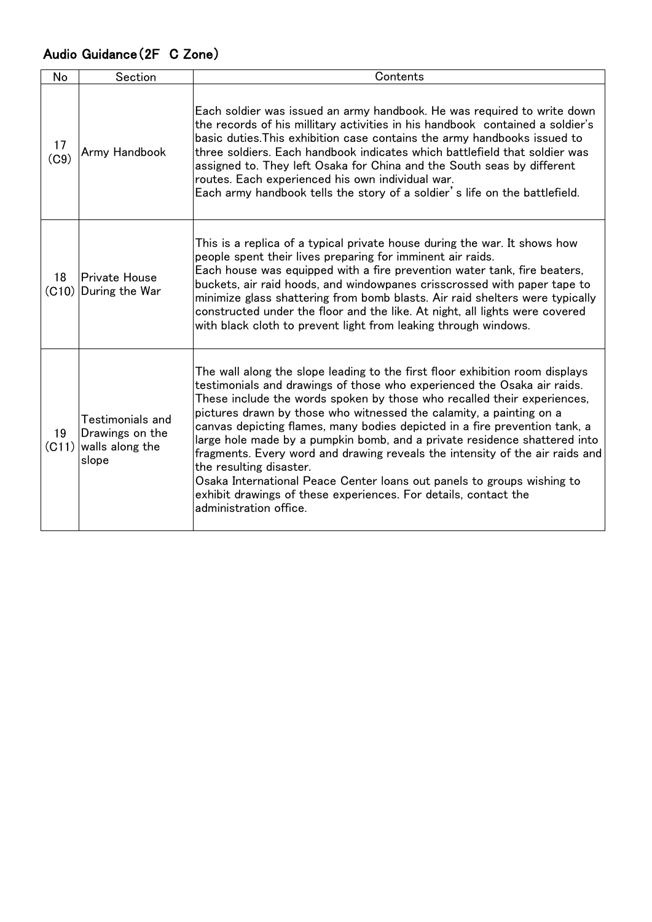## Audio Guidance(2F C Zone)

| No          | Section                                                         | Contents                                                                                                                                                                                                                                                                                                                                                                                                                                                                                                                                                                                                                                                                                                                                               |
|-------------|-----------------------------------------------------------------|--------------------------------------------------------------------------------------------------------------------------------------------------------------------------------------------------------------------------------------------------------------------------------------------------------------------------------------------------------------------------------------------------------------------------------------------------------------------------------------------------------------------------------------------------------------------------------------------------------------------------------------------------------------------------------------------------------------------------------------------------------|
| 17<br>(C9)  | Army Handbook                                                   | Each soldier was issued an army handbook. He was required to write down<br>the records of his millitary activities in his handbook contained a soldier's<br>basic duties. This exhibition case contains the army handbooks issued to<br>three soldiers. Each handbook indicates which battlefield that soldier was<br>assigned to. They left Osaka for China and the South seas by different<br>routes. Each experienced his own individual war.<br>Each army handbook tells the story of a soldier's life on the battlefield.                                                                                                                                                                                                                         |
| 18          | Private House<br>(C10) During the War                           | This is a replica of a typical private house during the war. It shows how<br>people spent their lives preparing for imminent air raids.<br>Each house was equipped with a fire prevention water tank, fire beaters,<br>buckets, air raid hoods, and windowpanes crisscrossed with paper tape to<br>minimize glass shattering from bomb blasts. Air raid shelters were typically<br>constructed under the floor and the like. At night, all lights were covered<br>with black cloth to prevent light from leaking through windows.                                                                                                                                                                                                                      |
| 19<br>(C11) | Testimonials and<br>Drawings on the<br>walls along the<br>slope | The wall along the slope leading to the first floor exhibition room displays<br>testimonials and drawings of those who experienced the Osaka air raids.<br>These include the words spoken by those who recalled their experiences,<br>pictures drawn by those who witnessed the calamity, a painting on a<br>canvas depicting flames, many bodies depicted in a fire prevention tank, a<br>large hole made by a pumpkin bomb, and a private residence shattered into<br>fragments. Every word and drawing reveals the intensity of the air raids and<br>the resulting disaster.<br>Osaka International Peace Center loans out panels to groups wishing to<br>exhibit drawings of these experiences. For details, contact the<br>administration office. |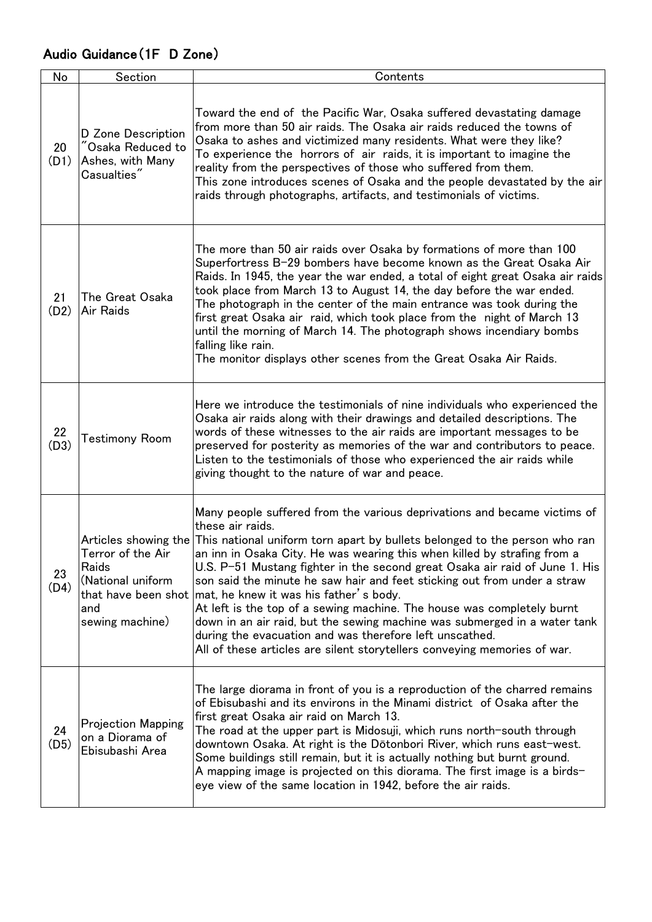## Audio Guidance(1F D Zone)

| No         | Section                                                                                          | Contents                                                                                                                                                                                                                                                                                                                                                                                                                                                                                                                                                                                                                                                                                                                                                                       |
|------------|--------------------------------------------------------------------------------------------------|--------------------------------------------------------------------------------------------------------------------------------------------------------------------------------------------------------------------------------------------------------------------------------------------------------------------------------------------------------------------------------------------------------------------------------------------------------------------------------------------------------------------------------------------------------------------------------------------------------------------------------------------------------------------------------------------------------------------------------------------------------------------------------|
| 20<br>(D1) | D Zone Description<br>$\check{ }$ Osaka Reduced to<br>Ashes, with Many<br>Casualties"            | Toward the end of the Pacific War, Osaka suffered devastating damage<br>from more than 50 air raids. The Osaka air raids reduced the towns of<br>Osaka to ashes and victimized many residents. What were they like?<br>To experience the horrors of air raids, it is important to imagine the<br>reality from the perspectives of those who suffered from them.<br>This zone introduces scenes of Osaka and the people devastated by the air<br>raids through photographs, artifacts, and testimonials of victims.                                                                                                                                                                                                                                                             |
| 21<br>(D2) | The Great Osaka<br>Air Raids                                                                     | The more than 50 air raids over Osaka by formations of more than 100<br>Superfortress B-29 bombers have become known as the Great Osaka Air<br>Raids. In 1945, the year the war ended, a total of eight great Osaka air raids<br>took place from March 13 to August 14, the day before the war ended.<br>The photograph in the center of the main entrance was took during the<br>first great Osaka air raid, which took place from the night of March 13<br>until the morning of March 14. The photograph shows incendiary bombs<br>falling like rain.<br>The monitor displays other scenes from the Great Osaka Air Raids.                                                                                                                                                   |
| 22<br>(D3) | <b>Testimony Room</b>                                                                            | Here we introduce the testimonials of nine individuals who experienced the<br>Osaka air raids along with their drawings and detailed descriptions. The<br>words of these witnesses to the air raids are important messages to be<br>preserved for posterity as memories of the war and contributors to peace.<br>Listen to the testimonials of those who experienced the air raids while<br>giving thought to the nature of war and peace.                                                                                                                                                                                                                                                                                                                                     |
| 23<br>(D4) | Terror of the Air<br>Raids<br>(National uniform<br>that have been shot<br>and<br>sewing machine) | Many people suffered from the various deprivations and became victims of<br>these air raids.<br>Articles showing the This national uniform torn apart by bullets belonged to the person who ran<br>an inn in Osaka City. He was wearing this when killed by strafing from a<br>U.S. P-51 Mustang fighter in the second great Osaka air raid of June 1. His<br>son said the minute he saw hair and feet sticking out from under a straw<br>mat, he knew it was his father's body.<br>At left is the top of a sewing machine. The house was completely burnt<br>down in an air raid, but the sewing machine was submerged in a water tank<br>during the evacuation and was therefore left unscathed.<br>All of these articles are silent storytellers conveying memories of war. |
| 24<br>(D5) | <b>Projection Mapping</b><br>on a Diorama of<br>Ebisubashi Area                                  | The large diorama in front of you is a reproduction of the charred remains<br>of Ebisubashi and its environs in the Minami district of Osaka after the<br>first great Osaka air raid on March 13.<br>The road at the upper part is Midosuji, which runs north-south through<br>downtown Osaka. At right is the Dōtonbori River, which runs east-west.<br>Some buildings still remain, but it is actually nothing but burnt ground.<br>A mapping image is projected on this diorama. The first image is a birds-<br>eye view of the same location in 1942, before the air raids.                                                                                                                                                                                                |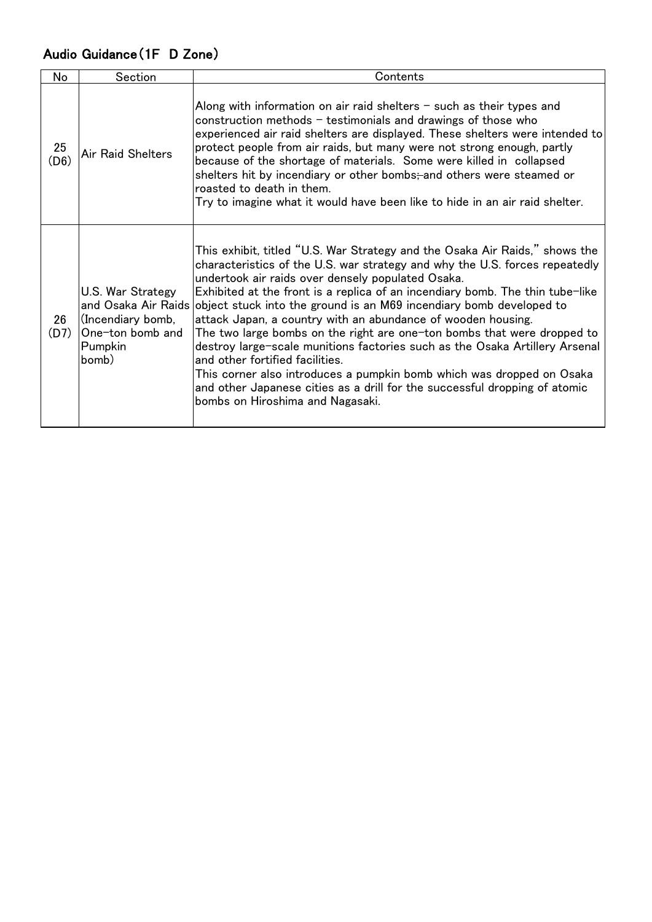## Audio Guidance(1F D Zone)

| No         | Section                                                                                               | Contents                                                                                                                                                                                                                                                                                                                                                                                                                                                                                                                                                                                                                                                                                                                                                                                                                        |
|------------|-------------------------------------------------------------------------------------------------------|---------------------------------------------------------------------------------------------------------------------------------------------------------------------------------------------------------------------------------------------------------------------------------------------------------------------------------------------------------------------------------------------------------------------------------------------------------------------------------------------------------------------------------------------------------------------------------------------------------------------------------------------------------------------------------------------------------------------------------------------------------------------------------------------------------------------------------|
| 25<br>(D6) | <b>Air Raid Shelters</b>                                                                              | Along with information on air raid shelters $-$ such as their types and<br>construction methods $-$ testimonials and drawings of those who<br>experienced air raid shelters are displayed. These shelters were intended to<br>protect people from air raids, but many were not strong enough, partly<br>because of the shortage of materials. Some were killed in collapsed<br>shelters hit by incendiary or other bombs; and others were steamed or<br>roasted to death in them.<br>Try to imagine what it would have been like to hide in an air raid shelter.                                                                                                                                                                                                                                                                |
| 26<br>(D7) | U.S. War Strategy<br>and Osaka Air Raids<br>(Incendiary bomb,<br>One-ton bomb and<br>Pumpkin<br>bomb) | This exhibit, titled "U.S. War Strategy and the Osaka Air Raids," shows the<br>characteristics of the U.S. war strategy and why the U.S. forces repeatedly<br>undertook air raids over densely populated Osaka.<br>Exhibited at the front is a replica of an incendiary bomb. The thin tube-like<br>object stuck into the ground is an M69 incendiary bomb developed to<br>attack Japan, a country with an abundance of wooden housing.<br>The two large bombs on the right are one-ton bombs that were dropped to<br>destroy large-scale munitions factories such as the Osaka Artillery Arsenal<br>and other fortified facilities.<br>This corner also introduces a pumpkin bomb which was dropped on Osaka<br>and other Japanese cities as a drill for the successful dropping of atomic<br>bombs on Hiroshima and Nagasaki. |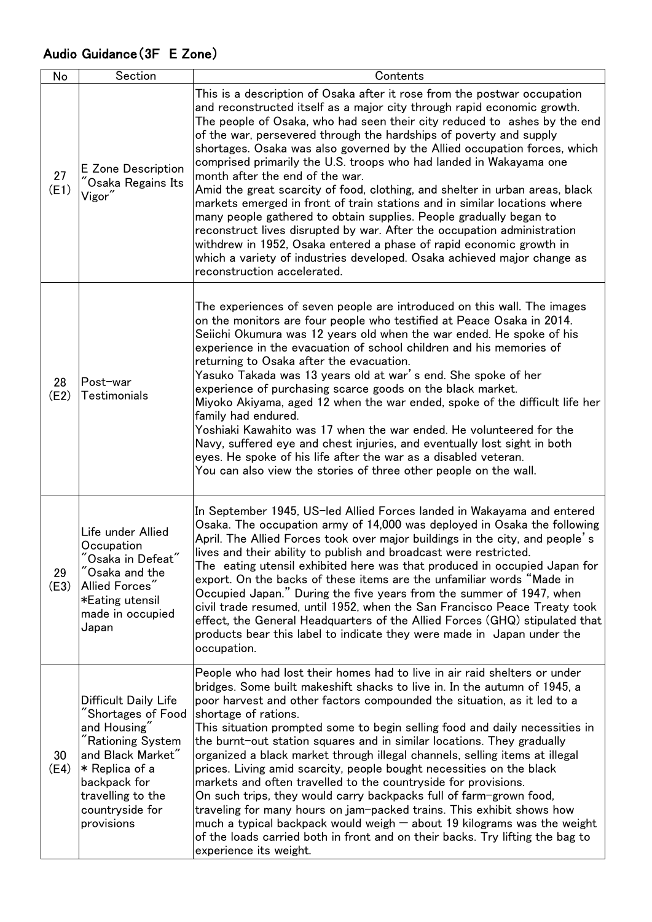## Audio Guidance(3F E Zone)

| No         | Section                                                                                                                                                                                     | Contents                                                                                                                                                                                                                                                                                                                                                                                                                                                                                                                                                                                                                                                                                                                                                                                                                                                                                                                                                                                   |
|------------|---------------------------------------------------------------------------------------------------------------------------------------------------------------------------------------------|--------------------------------------------------------------------------------------------------------------------------------------------------------------------------------------------------------------------------------------------------------------------------------------------------------------------------------------------------------------------------------------------------------------------------------------------------------------------------------------------------------------------------------------------------------------------------------------------------------------------------------------------------------------------------------------------------------------------------------------------------------------------------------------------------------------------------------------------------------------------------------------------------------------------------------------------------------------------------------------------|
| 27<br>(E1) | E Zone Description<br>"Osaka Regains Its<br>Vigor"                                                                                                                                          | This is a description of Osaka after it rose from the postwar occupation<br>and reconstructed itself as a major city through rapid economic growth.<br>The people of Osaka, who had seen their city reduced to ashes by the end<br>of the war, persevered through the hardships of poverty and supply<br>shortages. Osaka was also governed by the Allied occupation forces, which<br>comprised primarily the U.S. troops who had landed in Wakayama one<br>month after the end of the war.<br>Amid the great scarcity of food, clothing, and shelter in urban areas, black<br>markets emerged in front of train stations and in similar locations where<br>many people gathered to obtain supplies. People gradually began to<br>reconstruct lives disrupted by war. After the occupation administration<br>withdrew in 1952, Osaka entered a phase of rapid economic growth in<br>which a variety of industries developed. Osaka achieved major change as<br>reconstruction accelerated. |
| 28<br>(E2) | Post-war<br>Testimonials                                                                                                                                                                    | The experiences of seven people are introduced on this wall. The images<br>on the monitors are four people who testified at Peace Osaka in 2014.<br>Seiichi Okumura was 12 years old when the war ended. He spoke of his<br>experience in the evacuation of school children and his memories of<br>returning to Osaka after the evacuation.<br>Yasuko Takada was 13 years old at war's end. She spoke of her<br>experience of purchasing scarce goods on the black market.<br>Miyoko Akiyama, aged 12 when the war ended, spoke of the difficult life her<br>family had endured.<br>Yoshiaki Kawahito was 17 when the war ended. He volunteered for the<br>Navy, suffered eye and chest injuries, and eventually lost sight in both<br>eyes. He spoke of his life after the war as a disabled veteran.<br>You can also view the stories of three other people on the wall.                                                                                                                 |
| 29<br>(E3) | Life under Allied<br>Occupation<br>"Osaka in Defeat"<br>Osaka and the<br>Allied Forces"<br>*Eating utensil<br>made in occupied<br>Japan                                                     | In September 1945, US-led Allied Forces landed in Wakayama and entered<br>Osaka. The occupation army of 14,000 was deployed in Osaka the following<br>April. The Allied Forces took over major buildings in the city, and people's<br>lives and their ability to publish and broadcast were restricted.<br>The eating utensil exhibited here was that produced in occupied Japan for<br>export. On the backs of these items are the unfamiliar words "Made in<br>Occupied Japan." During the five years from the summer of 1947, when<br>civil trade resumed, until 1952, when the San Francisco Peace Treaty took<br>effect, the General Headquarters of the Allied Forces (GHQ) stipulated that<br>products bear this label to indicate they were made in Japan under the<br>occupation.                                                                                                                                                                                                 |
| 30<br>(E4) | Difficult Daily Life<br>Shortages of Food<br>and Housing"<br>"Rationing System<br>and Black Market"<br>* Replica of a<br>backpack for<br>travelling to the<br>countryside for<br>provisions | People who had lost their homes had to live in air raid shelters or under<br>bridges. Some built makeshift shacks to live in. In the autumn of 1945, a<br>poor harvest and other factors compounded the situation, as it led to a<br>shortage of rations.<br>This situation prompted some to begin selling food and daily necessities in<br>the burnt-out station squares and in similar locations. They gradually<br>organized a black market through illegal channels, selling items at illegal<br>prices. Living amid scarcity, people bought necessities on the black<br>markets and often travelled to the countryside for provisions.<br>On such trips, they would carry backpacks full of farm-grown food,<br>traveling for many hours on jam-packed trains. This exhibit shows how<br>much a typical backpack would weigh - about 19 kilograms was the weight<br>of the loads carried both in front and on their backs. Try lifting the bag to<br>experience its weight.           |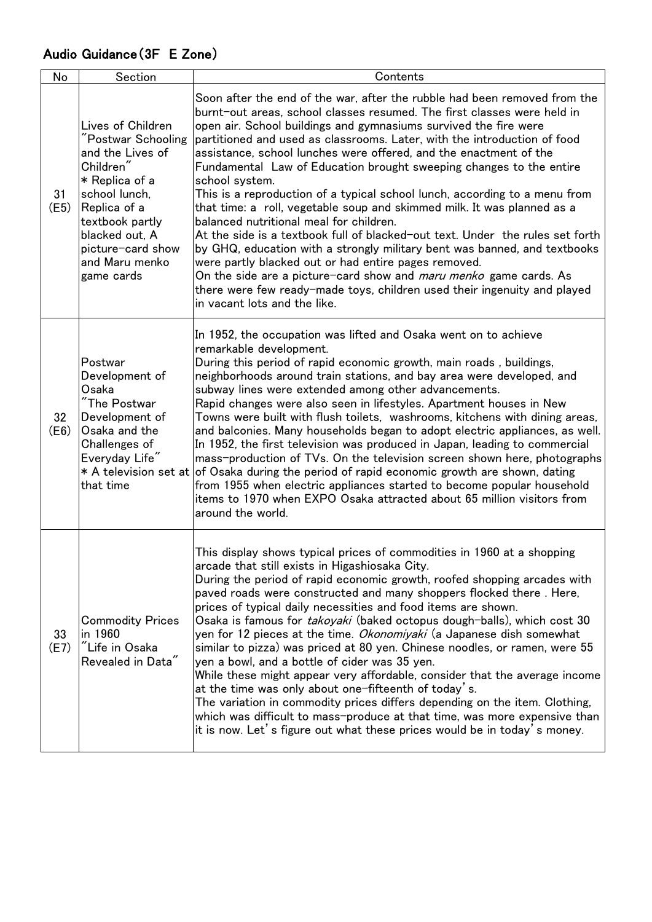## Audio Guidance(3F E Zone)

| No         | Section                                                                                                                                                                                                               | Contents                                                                                                                                                                                                                                                                                                                                                                                                                                                                                                                                                                                                                                                                                                                                                                                                                                                                                                                                                                                                                                                                             |
|------------|-----------------------------------------------------------------------------------------------------------------------------------------------------------------------------------------------------------------------|--------------------------------------------------------------------------------------------------------------------------------------------------------------------------------------------------------------------------------------------------------------------------------------------------------------------------------------------------------------------------------------------------------------------------------------------------------------------------------------------------------------------------------------------------------------------------------------------------------------------------------------------------------------------------------------------------------------------------------------------------------------------------------------------------------------------------------------------------------------------------------------------------------------------------------------------------------------------------------------------------------------------------------------------------------------------------------------|
| 31<br>(E5) | Lives of Children<br>"Postwar Schooling<br>and the Lives of<br>Children"<br>* Replica of a<br>school lunch,<br>Replica of a<br>textbook partly<br>blacked out, A<br>picture-card show<br>and Maru menko<br>game cards | Soon after the end of the war, after the rubble had been removed from the<br>burnt-out areas, school classes resumed. The first classes were held in<br>open air. School buildings and gymnasiums survived the fire were<br>partitioned and used as classrooms. Later, with the introduction of food<br>assistance, school lunches were offered, and the enactment of the<br>Fundamental Law of Education brought sweeping changes to the entire<br>school system.<br>This is a reproduction of a typical school lunch, according to a menu from<br>that time: a roll, vegetable soup and skimmed milk. It was planned as a<br>balanced nutritional meal for children.<br>At the side is a textbook full of blacked-out text. Under the rules set forth<br>by GHQ, education with a strongly military bent was banned, and textbooks<br>were partly blacked out or had entire pages removed.<br>On the side are a picture-card show and <i>maru menko</i> game cards. As<br>there were few ready-made toys, children used their ingenuity and played<br>in vacant lots and the like. |
| 32<br>(E6) | Postwar<br>Development of<br>Osaka<br>"The Postwar<br>Development of<br>Osaka and the<br>Challenges of<br>Everyday Life"<br>* A television set at<br>that time                                                        | In 1952, the occupation was lifted and Osaka went on to achieve<br>remarkable development.<br>During this period of rapid economic growth, main roads, buildings,<br>neighborhoods around train stations, and bay area were developed, and<br>subway lines were extended among other advancements.<br>Rapid changes were also seen in lifestyles. Apartment houses in New<br>Towns were built with flush toilets,washrooms, kitchens with dining areas,<br>and balconies. Many households began to adopt electric appliances, as well.<br>In 1952, the first television was produced in Japan, leading to commercial<br>mass-production of TVs. On the television screen shown here, photographs<br>of Osaka during the period of rapid economic growth are shown, dating<br>from 1955 when electric appliances started to become popular household<br>items to 1970 when EXPO Osaka attracted about 65 million visitors from<br>around the world.                                                                                                                                   |
| 33<br>(E7) | <b>Commodity Prices</b><br>in 1960<br>"Life in Osaka<br>Revealed in Data"                                                                                                                                             | This display shows typical prices of commodities in 1960 at a shopping<br>arcade that still exists in Higashiosaka City.<br>During the period of rapid economic growth, roofed shopping arcades with<br>paved roads were constructed and many shoppers flocked there. Here,<br>prices of typical daily necessities and food items are shown.<br>Osaka is famous for takoyaki (baked octopus dough-balls), which cost 30<br>yen for 12 pieces at the time. Okonomiyaki (a Japanese dish somewhat<br>similar to pizza) was priced at 80 yen. Chinese noodles, or ramen, were 55<br>yen a bowl, and a bottle of cider was 35 yen.<br>While these might appear very affordable, consider that the average income<br>at the time was only about one-fifteenth of today's.<br>The variation in commodity prices differs depending on the item. Clothing,<br>which was difficult to mass-produce at that time, was more expensive than<br>it is now. Let's figure out what these prices would be in today's money.                                                                          |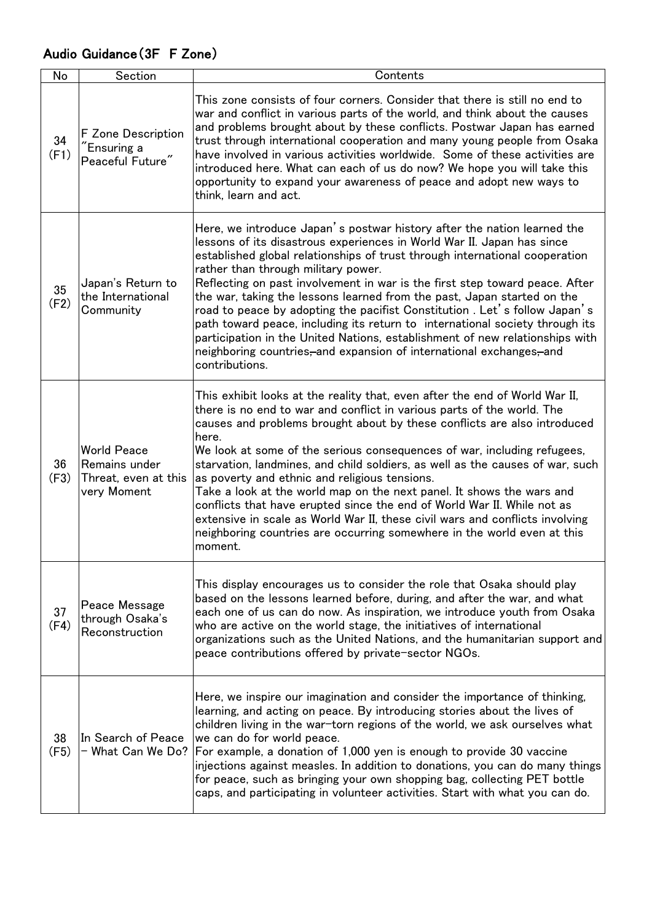#### Audio Guidance(3F F Zone)

| No         | Section                                                                    | Contents                                                                                                                                                                                                                                                                                                                                                                                                                                                                                                                                                                                                                                                                                                                                                                          |
|------------|----------------------------------------------------------------------------|-----------------------------------------------------------------------------------------------------------------------------------------------------------------------------------------------------------------------------------------------------------------------------------------------------------------------------------------------------------------------------------------------------------------------------------------------------------------------------------------------------------------------------------------------------------------------------------------------------------------------------------------------------------------------------------------------------------------------------------------------------------------------------------|
| 34<br>(F1) | F Zone Description<br>"Ensuring a<br>Peaceful Future"                      | This zone consists of four corners. Consider that there is still no end to<br>war and conflict in various parts of the world, and think about the causes<br>and problems brought about by these conflicts. Postwar Japan has earned<br>trust through international cooperation and many young people from Osaka<br>have involved in various activities worldwide. Some of these activities are<br>introduced here. What can each of us do now? We hope you will take this<br>opportunity to expand your awareness of peace and adopt new ways to<br>think, learn and act.                                                                                                                                                                                                         |
| 35<br>(F2) | Japan's Return to<br>the International<br>Community                        | Here, we introduce Japan's postwar history after the nation learned the<br>lessons of its disastrous experiences in World War II. Japan has since<br>established global relationships of trust through international cooperation<br>rather than through military power.<br>Reflecting on past involvement in war is the first step toward peace. After<br>the war, taking the lessons learned from the past, Japan started on the<br>road to peace by adopting the pacifist Constitution . Let's follow Japan's<br>path toward peace, including its return to  international society through its<br>participation in the United Nations, establishment of new relationships with<br>neighboring countries, and expansion of international exchanges, and<br>contributions.        |
| 36<br>(F3) | <b>World Peace</b><br>Remains under<br>Threat, even at this<br>very Moment | This exhibit looks at the reality that, even after the end of World War II,<br>there is no end to war and conflict in various parts of the world. The<br>causes and problems brought about by these conflicts are also introduced<br>here.<br>We look at some of the serious consequences of war, including refugees,<br>starvation, landmines, and child soldiers, as well as the causes of war, such<br>as poverty and ethnic and religious tensions.<br>Take a look at the world map on the next panel. It shows the wars and<br>conflicts that have erupted since the end of World War II. While not as<br>extensive in scale as World War II, these civil wars and conflicts involving<br>neighboring countries are occurring somewhere in the world even at this<br>moment. |
| 37<br>(F4) | Peace Message<br>through Osaka's<br>Reconstruction                         | This display encourages us to consider the role that Osaka should play<br>based on the lessons learned before, during, and after the war, and what<br>each one of us can do now. As inspiration, we introduce youth from Osaka<br>who are active on the world stage, the initiatives of international<br>organizations such as the United Nations, and the humanitarian support and<br>peace contributions offered by private-sector NGOs.                                                                                                                                                                                                                                                                                                                                        |
| 38<br>(F5) | In Search of Peace<br>- What Can We Do?                                    | Here, we inspire our imagination and consider the importance of thinking,<br>learning, and acting on peace. By introducing stories about the lives of<br>children living in the war-torn regions of the world, we ask ourselves what<br>we can do for world peace.<br>For example, a donation of 1,000 yen is enough to provide 30 vaccine<br>injections against measles. In addition to donations, you can do many things<br>for peace, such as bringing your own shopping bag, collecting PET bottle<br>caps, and participating in volunteer activities. Start with what you can do.                                                                                                                                                                                            |